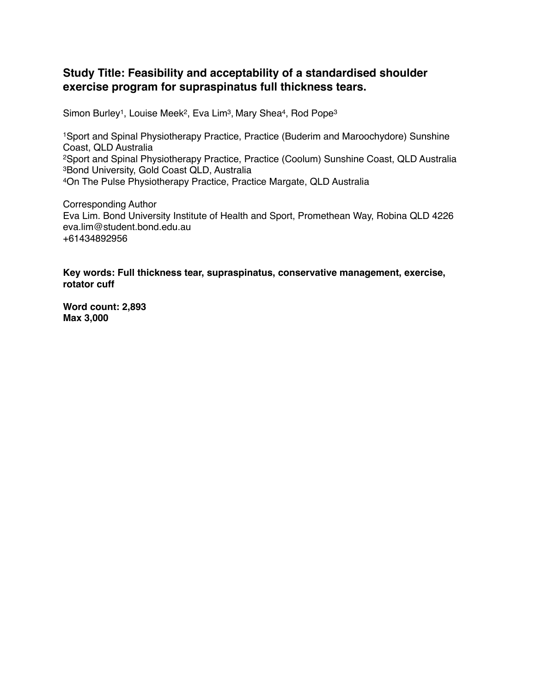## **Study Title: Feasibility and acceptability of a standardised shoulder exercise program for supraspinatus full thickness tears.**

Simon Burley<sup>1</sup>, Louise Meek<sup>2</sup>, Eva Lim<sup>3</sup>, Mary Shea<sup>4</sup>, Rod Pope<sup>3</sup>

1Sport and Spinal Physiotherapy Practice, Practice (Buderim and Maroochydore) Sunshine Coast, QLD Australia 2Sport and Spinal Physiotherapy Practice, Practice (Coolum) Sunshine Coast, QLD Australia 3Bond University, Gold Coast QLD, Australia 4On The Pulse Physiotherapy Practice, Practice Margate, QLD Australia

Corresponding Author Eva Lim. Bond University Institute of Health and Sport, Promethean Way, Robina QLD 4226 [eva.lim@student.bond.](mailto:eva.lim@student.bond)[edu.au](http://edu.au) +61434892956

**Key words: Full thickness tear, supraspinatus, conservative management, exercise, rotator cuff**

**Word count: 2,893 Max 3,000**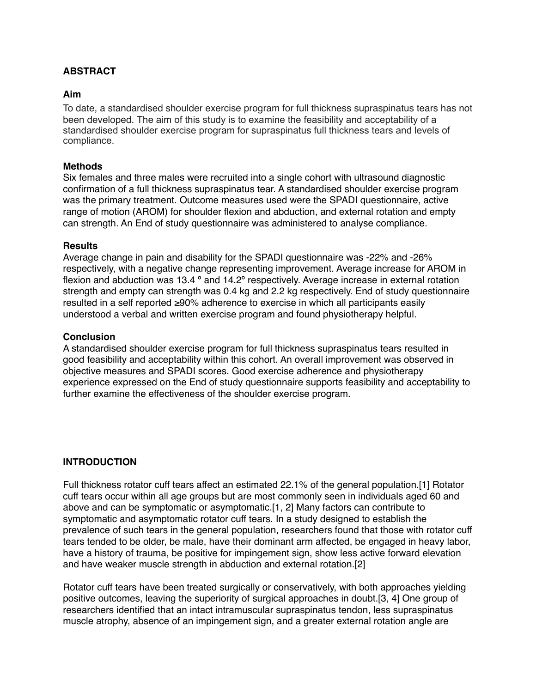### **ABSTRACT**

### **Aim**

To date, a standardised shoulder exercise program for full thickness supraspinatus tears has not been developed. The aim of this study is to examine the feasibility and acceptability of a standardised shoulder exercise program for supraspinatus full thickness tears and levels of compliance.

### **Methods**

Six females and three males were recruited into a single cohort with ultrasound diagnostic confirmation of a full thickness supraspinatus tear. A standardised shoulder exercise program was the primary treatment. Outcome measures used were the SPADI questionnaire, active range of motion (AROM) for shoulder flexion and abduction, and external rotation and empty can strength. An End of study questionnaire was administered to analyse compliance.

### **Results**

Average change in pain and disability for the SPADI questionnaire was -22% and -26% respectively, with a negative change representing improvement. Average increase for AROM in flexion and abduction was 13.4 ° and 14.2° respectively. Average increase in external rotation strength and empty can strength was 0.4 kg and 2.2 kg respectively. End of study questionnaire resulted in a self reported ≥90% adherence to exercise in which all participants easily understood a verbal and written exercise program and found physiotherapy helpful.

### **Conclusion**

A standardised shoulder exercise program for full thickness supraspinatus tears resulted in good feasibility and acceptability within this cohort. An overall improvement was observed in objective measures and SPADI scores. Good exercise adherence and physiotherapy experience expressed on the End of study questionnaire supports feasibility and acceptability to further examine the effectiveness of the shoulder exercise program.

### **INTRODUCTION**

Full thickness rotator cuff tears affect an estimated 22.1% of the general population.[1] Rotator cuff tears occur within all age groups but are most commonly seen in individuals aged 60 and above and can be symptomatic or asymptomatic.[1, 2] Many factors can contribute to symptomatic and asymptomatic rotator cuff tears. In a study designed to establish the prevalence of such tears in the general population, researchers found that those with rotator cuff tears tended to be older, be male, have their dominant arm affected, be engaged in heavy labor, have a history of trauma, be positive for impingement sign, show less active forward elevation and have weaker muscle strength in abduction and external rotation.[2]

Rotator cuff tears have been treated surgically or conservatively, with both approaches yielding positive outcomes, leaving the superiority of surgical approaches in doubt.[3, 4] One group of researchers identified that an intact intramuscular supraspinatus tendon, less supraspinatus muscle atrophy, absence of an impingement sign, and a greater external rotation angle are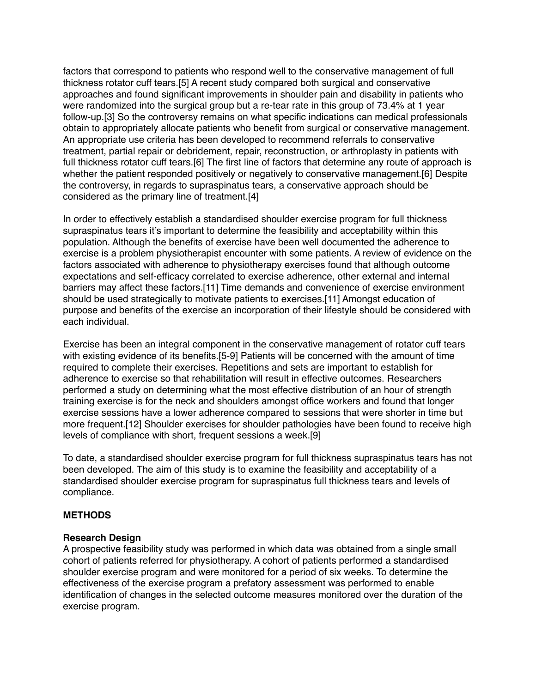factors that correspond to patients who respond well to the conservative management of full thickness rotator cuff tears.[5] A recent study compared both surgical and conservative approaches and found significant improvements in shoulder pain and disability in patients who were randomized into the surgical group but a re-tear rate in this group of 73.4% at 1 year follow-up.[3] So the controversy remains on what specific indications can medical professionals obtain to appropriately allocate patients who benefit from surgical or conservative management. An appropriate use criteria has been developed to recommend referrals to conservative treatment, partial repair or debridement, repair, reconstruction, or arthroplasty in patients with full thickness rotator cuff tears.[6] The first line of factors that determine any route of approach is whether the patient responded positively or negatively to conservative management.[6] Despite the controversy, in regards to supraspinatus tears, a conservative approach should be considered as the primary line of treatment.[4]

In order to effectively establish a standardised shoulder exercise program for full thickness supraspinatus tears it's important to determine the feasibility and acceptability within this population. Although the benefits of exercise have been well documented the adherence to exercise is a problem physiotherapist encounter with some patients. A review of evidence on the factors associated with adherence to physiotherapy exercises found that although outcome expectations and self-efficacy correlated to exercise adherence, other external and internal barriers may affect these factors.[11] Time demands and convenience of exercise environment should be used strategically to motivate patients to exercises.[11] Amongst education of purpose and benefits of the exercise an incorporation of their lifestyle should be considered with each individual.

Exercise has been an integral component in the conservative management of rotator cuff tears with existing evidence of its benefits.[5-9] Patients will be concerned with the amount of time required to complete their exercises. Repetitions and sets are important to establish for adherence to exercise so that rehabilitation will result in effective outcomes. Researchers performed a study on determining what the most effective distribution of an hour of strength training exercise is for the neck and shoulders amongst office workers and found that longer exercise sessions have a lower adherence compared to sessions that were shorter in time but more frequent.[12] Shoulder exercises for shoulder pathologies have been found to receive high levels of compliance with short, frequent sessions a week.[9]

To date, a standardised shoulder exercise program for full thickness supraspinatus tears has not been developed. The aim of this study is to examine the feasibility and acceptability of a standardised shoulder exercise program for supraspinatus full thickness tears and levels of compliance.

### **METHODS**

### **Research Design**

A prospective feasibility study was performed in which data was obtained from a single small cohort of patients referred for physiotherapy. A cohort of patients performed a standardised shoulder exercise program and were monitored for a period of six weeks. To determine the effectiveness of the exercise program a prefatory assessment was performed to enable identification of changes in the selected outcome measures monitored over the duration of the exercise program.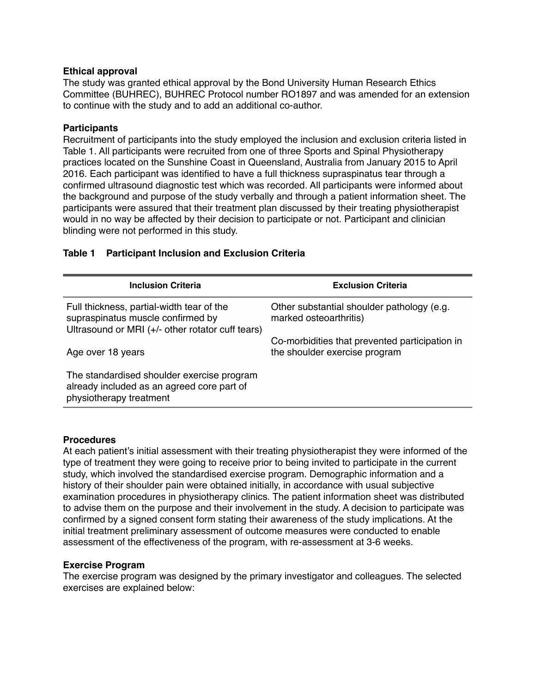### **Ethical approval**

The study was granted ethical approval by the Bond University Human Research Ethics Committee (BUHREC), BUHREC Protocol number RO1897 and was amended for an extension to continue with the study and to add an additional co-author.

### **Participants**

Recruitment of participants into the study employed the inclusion and exclusion criteria listed in Table 1. All participants were recruited from one of three Sports and Spinal Physiotherapy practices located on the Sunshine Coast in Queensland, Australia from January 2015 to April 2016. Each participant was identified to have a full thickness supraspinatus tear through a confirmed ultrasound diagnostic test which was recorded. All participants were informed about the background and purpose of the study verbally and through a patient information sheet. The participants were assured that their treatment plan discussed by their treating physiotherapist would in no way be affected by their decision to participate or not. Participant and clinician blinding were not performed in this study.

| <b>Inclusion Criteria</b>                                                                                                          | <b>Exclusion Criteria</b>                                                       |
|------------------------------------------------------------------------------------------------------------------------------------|---------------------------------------------------------------------------------|
| Full thickness, partial-width tear of the<br>supraspinatus muscle confirmed by<br>Ultrasound or MRI (+/- other rotator cuff tears) | Other substantial shoulder pathology (e.g.<br>marked osteoarthritis)            |
| Age over 18 years                                                                                                                  | Co-morbidities that prevented participation in<br>the shoulder exercise program |
| The standardised shoulder exercise program<br>already included as an agreed core part of<br>physiotherapy treatment                |                                                                                 |

### **Table 1 Participant Inclusion and Exclusion Criteria**

### **Procedures**

At each patient's initial assessment with their treating physiotherapist they were informed of the type of treatment they were going to receive prior to being invited to participate in the current study, which involved the standardised exercise program. Demographic information and a history of their shoulder pain were obtained initially, in accordance with usual subjective examination procedures in physiotherapy clinics. The patient information sheet was distributed to advise them on the purpose and their involvement in the study. A decision to participate was confirmed by a signed consent form stating their awareness of the study implications. At the initial treatment preliminary assessment of outcome measures were conducted to enable assessment of the effectiveness of the program, with re-assessment at 3-6 weeks.

### **Exercise Program**

The exercise program was designed by the primary investigator and colleagues. The selected exercises are explained below: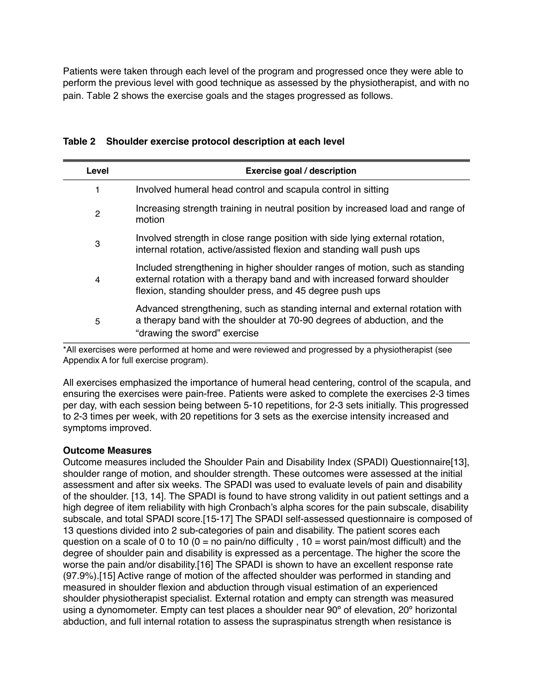Patients were taken through each level of the program and progressed once they were able to perform the previous level with good technique as assessed by the physiotherapist, and with no pain. Table 2 shows the exercise goals and the stages progressed as follows.

| Level | Exercise goal / description                                                                                                                                                                                           |
|-------|-----------------------------------------------------------------------------------------------------------------------------------------------------------------------------------------------------------------------|
| 1     | Involved humeral head control and scapula control in sitting                                                                                                                                                          |
| 2     | Increasing strength training in neutral position by increased load and range of<br>motion                                                                                                                             |
| 3     | Involved strength in close range position with side lying external rotation,<br>internal rotation, active/assisted flexion and standing wall push ups                                                                 |
| 4     | Included strengthening in higher shoulder ranges of motion, such as standing<br>external rotation with a therapy band and with increased forward shoulder<br>flexion, standing shoulder press, and 45 degree push ups |
| 5     | Advanced strengthening, such as standing internal and external rotation with<br>a therapy band with the shoulder at 70-90 degrees of abduction, and the<br>"drawing the sword" exercise                               |

### **Table 2 Shoulder exercise protocol description at each level**

\*All exercises were performed at home and were reviewed and progressed by a physiotherapist (see Appendix A for full exercise program).

All exercises emphasized the importance of humeral head centering, control of the scapula, and ensuring the exercises were pain-free. Patients were asked to complete the exercises 2-3 times per day, with each session being between 5-10 repetitions, for 2-3 sets initially. This progressed to 2-3 times per week, with 20 repetitions for 3 sets as the exercise intensity increased and symptoms improved.

### **Outcome Measures**

Outcome measures included the Shoulder Pain and Disability Index (SPADI) Questionnaire[13], shoulder range of motion, and shoulder strength. These outcomes were assessed at the initial assessment and after six weeks. The SPADI was used to evaluate levels of pain and disability of the shoulder. [13, 14]. The SPADI is found to have strong validity in out patient settings and a high degree of item reliability with high Cronbach's alpha scores for the pain subscale, disability subscale, and total SPADI score.[15-17] The SPADI self-assessed questionnaire is composed of 13 questions divided into 2 sub-categories of pain and disability. The patient scores each question on a scale of 0 to 10 ( $0 =$  no pain/no difficulty, 10 = worst pain/most difficult) and the degree of shoulder pain and disability is expressed as a percentage. The higher the score the worse the pain and/or disability.[16] The SPADI is shown to have an excellent response rate (97.9%).[15] Active range of motion of the affected shoulder was performed in standing and measured in shoulder flexion and abduction through visual estimation of an experienced shoulder physiotherapist specialist. External rotation and empty can strength was measured using a dynomometer. Empty can test places a shoulder near 90º of elevation, 20º horizontal abduction, and full internal rotation to assess the supraspinatus strength when resistance is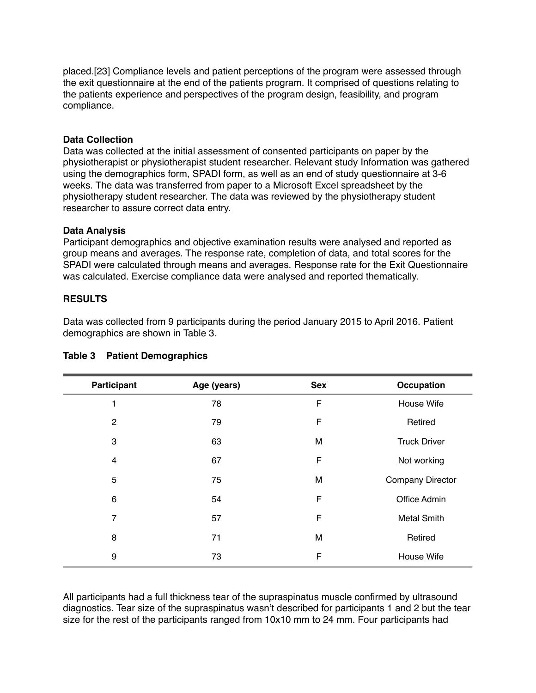placed.[23] Compliance levels and patient perceptions of the program were assessed through the exit questionnaire at the end of the patients program. It comprised of questions relating to the patients experience and perspectives of the program design, feasibility, and program compliance.

### **Data Collection**

Data was collected at the initial assessment of consented participants on paper by the physiotherapist or physiotherapist student researcher. Relevant study Information was gathered using the demographics form, SPADI form, as well as an end of study questionnaire at 3-6 weeks. The data was transferred from paper to a Microsoft Excel spreadsheet by the physiotherapy student researcher. The data was reviewed by the physiotherapy student researcher to assure correct data entry.

#### **Data Analysis**

Participant demographics and objective examination results were analysed and reported as group means and averages. The response rate, completion of data, and total scores for the SPADI were calculated through means and averages. Response rate for the Exit Questionnaire was calculated. Exercise compliance data were analysed and reported thematically.

### **RESULTS**

Data was collected from 9 participants during the period January 2015 to April 2016. Patient demographics are shown in Table 3.

| Participant    | Age (years) | <b>Sex</b>  | <b>Occupation</b>       |
|----------------|-------------|-------------|-------------------------|
| 1              | 78          | F           | House Wife              |
| $\overline{2}$ | 79          | F           | Retired                 |
| 3              | 63          | M           | <b>Truck Driver</b>     |
| 4              | 67          | F           | Not working             |
| 5              | 75          | M           | <b>Company Director</b> |
| $6\phantom{1}$ | 54          | F           | Office Admin            |
| $\overline{7}$ | 57          | $\mathsf F$ | <b>Metal Smith</b>      |
| 8              | 71          | M           | Retired                 |
| 9              | 73          | F           | House Wife              |

#### **Table 3 Patient Demographics**

All participants had a full thickness tear of the supraspinatus muscle confirmed by ultrasound diagnostics. Tear size of the supraspinatus wasn't described for participants 1 and 2 but the tear size for the rest of the participants ranged from 10x10 mm to 24 mm. Four participants had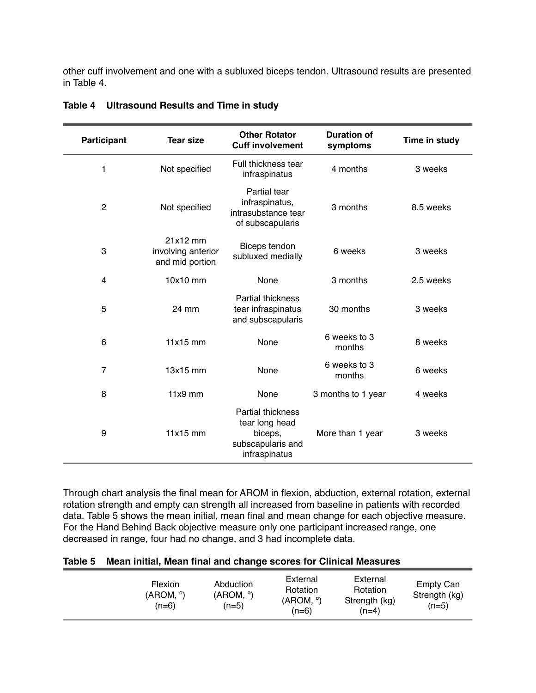other cuff involvement and one with a subluxed biceps tendon. Ultrasound results are presented in Table 4.

| Participant    | <b>Tear size</b>                                  | <b>Other Rotator</b><br><b>Cuff involvement</b>                                             | <b>Duration of</b><br>symptoms | Time in study |
|----------------|---------------------------------------------------|---------------------------------------------------------------------------------------------|--------------------------------|---------------|
| 1              | Not specified                                     | Full thickness tear<br>infraspinatus                                                        | 4 months                       | 3 weeks       |
| $\overline{2}$ | Not specified                                     | <b>Partial tear</b><br>infraspinatus,<br>intrasubstance tear<br>of subscapularis            | 3 months                       | 8.5 weeks     |
| 3              | 21x12 mm<br>involving anterior<br>and mid portion | Biceps tendon<br>subluxed medially                                                          | 6 weeks                        | 3 weeks       |
| 4              | 10x10 mm                                          | None                                                                                        | 3 months                       | 2.5 weeks     |
| 5              | 24 mm                                             | <b>Partial thickness</b><br>tear infraspinatus<br>and subscapularis                         | 30 months                      | 3 weeks       |
| 6              | 11x15 mm                                          | None                                                                                        | 6 weeks to 3<br>months         | 8 weeks       |
| $\overline{7}$ | 13x15 mm                                          | None                                                                                        | 6 weeks to 3<br>months         | 6 weeks       |
| 8              | $11x9$ mm                                         | None                                                                                        | 3 months to 1 year             | 4 weeks       |
| 9              | 11x15 mm                                          | <b>Partial thickness</b><br>tear long head<br>biceps,<br>subscapularis and<br>infraspinatus | More than 1 year               | 3 weeks       |

|  |  | Table 4 Ultrasound Results and Time in study |  |  |
|--|--|----------------------------------------------|--|--|
|--|--|----------------------------------------------|--|--|

Through chart analysis the final mean for AROM in flexion, abduction, external rotation, external rotation strength and empty can strength all increased from baseline in patients with recorded data. Table 5 shows the mean initial, mean final and mean change for each objective measure. For the Hand Behind Back objective measure only one participant increased range, one decreased in range, four had no change, and 3 had incomplete data.

|  |  |  | Table 5 Mean initial, Mean final and change scores for Clinical Measures |  |  |
|--|--|--|--------------------------------------------------------------------------|--|--|
|--|--|--|--------------------------------------------------------------------------|--|--|

| Flexion<br>(AROM, °)<br>(n=6) | Abduction<br>(AROM, °)<br>(n=5) | External<br>Rotation<br>(AROM, °)<br>$(n=6)$ | External<br>Rotation<br>Strength (kg)<br>(n=4) | <b>Empty Can</b><br>Strength (kg)<br>$(n=5)$ |
|-------------------------------|---------------------------------|----------------------------------------------|------------------------------------------------|----------------------------------------------|
|-------------------------------|---------------------------------|----------------------------------------------|------------------------------------------------|----------------------------------------------|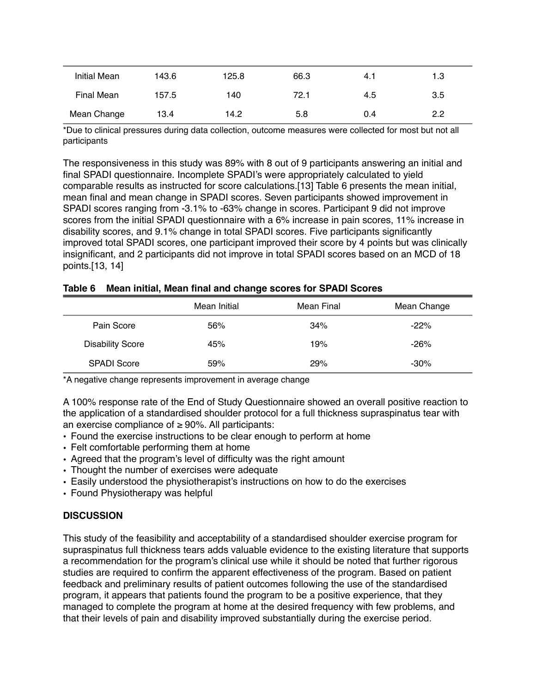| Initial Mean      | 143.6 | 125.8 | 66.3 | 4.1 | 1.3 |
|-------------------|-------|-------|------|-----|-----|
| <b>Final Mean</b> | 157.5 | 140   | 72.1 | 4.5 | 3.5 |
| Mean Change       | 13.4  | 14.2  | 5.8  | 0.4 | 2.2 |

\*Due to clinical pressures during data collection, outcome measures were collected for most but not all participants

The responsiveness in this study was 89% with 8 out of 9 participants answering an initial and final SPADI questionnaire. Incomplete SPADI's were appropriately calculated to yield comparable results as instructed for score calculations.[13] Table 6 presents the mean initial, mean final and mean change in SPADI scores. Seven participants showed improvement in SPADI scores ranging from -3.1% to -63% change in scores. Participant 9 did not improve scores from the initial SPADI questionnaire with a 6% increase in pain scores, 11% increase in disability scores, and 9.1% change in total SPADI scores. Five participants significantly improved total SPADI scores, one participant improved their score by 4 points but was clinically insignificant, and 2 participants did not improve in total SPADI scores based on an MCD of 18 points.[13, 14]

|                         | Mean Initial | Mean Final | Mean Change |
|-------------------------|--------------|------------|-------------|
| Pain Score              | 56%          | 34%        | $-22%$      |
| <b>Disability Score</b> | 45%          | 19%        | $-26%$      |
| <b>SPADI Score</b>      | 59%          | 29%        | $-30%$      |

### **Table 6 Mean initial, Mean final and change scores for SPADI Scores**

\*A negative change represents improvement in average change

A 100% response rate of the End of Study Questionnaire showed an overall positive reaction to the application of a standardised shoulder protocol for a full thickness supraspinatus tear with an exercise compliance of ≥ 90%. All participants:

- Found the exercise instructions to be clear enough to perform at home
- Felt comfortable performing them at home
- Agreed that the program's level of difficulty was the right amount
- Thought the number of exercises were adequate
- Easily understood the physiotherapist's instructions on how to do the exercises
- Found Physiotherapy was helpful

### **DISCUSSION**

This study of the feasibility and acceptability of a standardised shoulder exercise program for supraspinatus full thickness tears adds valuable evidence to the existing literature that supports a recommendation for the program's clinical use while it should be noted that further rigorous studies are required to confirm the apparent effectiveness of the program. Based on patient feedback and preliminary results of patient outcomes following the use of the standardised program, it appears that patients found the program to be a positive experience, that they managed to complete the program at home at the desired frequency with few problems, and that their levels of pain and disability improved substantially during the exercise period.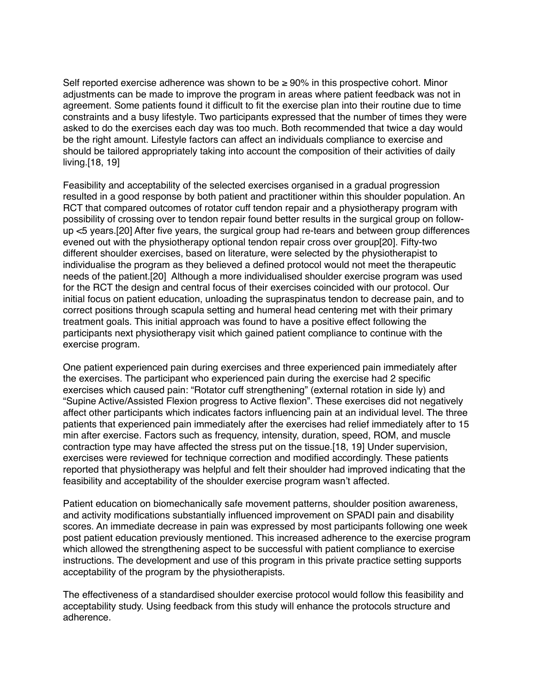Self reported exercise adherence was shown to be  $\geq 90\%$  in this prospective cohort. Minor adjustments can be made to improve the program in areas where patient feedback was not in agreement. Some patients found it difficult to fit the exercise plan into their routine due to time constraints and a busy lifestyle. Two participants expressed that the number of times they were asked to do the exercises each day was too much. Both recommended that twice a day would be the right amount. Lifestyle factors can affect an individuals compliance to exercise and should be tailored appropriately taking into account the composition of their activities of daily living.[18, 19]

Feasibility and acceptability of the selected exercises organised in a gradual progression resulted in a good response by both patient and practitioner within this shoulder population. An RCT that compared outcomes of rotator cuff tendon repair and a physiotherapy program with possibility of crossing over to tendon repair found better results in the surgical group on followup <5 years.[20] After five years, the surgical group had re-tears and between group differences evened out with the physiotherapy optional tendon repair cross over group[20]. Fifty-two different shoulder exercises, based on literature, were selected by the physiotherapist to individualise the program as they believed a defined protocol would not meet the therapeutic needs of the patient.[20] Although a more individualised shoulder exercise program was used for the RCT the design and central focus of their exercises coincided with our protocol. Our initial focus on patient education, unloading the supraspinatus tendon to decrease pain, and to correct positions through scapula setting and humeral head centering met with their primary treatment goals. This initial approach was found to have a positive effect following the participants next physiotherapy visit which gained patient compliance to continue with the exercise program.

One patient experienced pain during exercises and three experienced pain immediately after the exercises. The participant who experienced pain during the exercise had 2 specific exercises which caused pain: "Rotator cuff strengthening" (external rotation in side ly) and "Supine Active/Assisted Flexion progress to Active flexion". These exercises did not negatively affect other participants which indicates factors influencing pain at an individual level. The three patients that experienced pain immediately after the exercises had relief immediately after to 15 min after exercise. Factors such as frequency, intensity, duration, speed, ROM, and muscle contraction type may have affected the stress put on the tissue.[18, 19] Under supervision, exercises were reviewed for technique correction and modified accordingly. These patients reported that physiotherapy was helpful and felt their shoulder had improved indicating that the feasibility and acceptability of the shoulder exercise program wasn't affected.

Patient education on biomechanically safe movement patterns, shoulder position awareness, and activity modifications substantially influenced improvement on SPADI pain and disability scores. An immediate decrease in pain was expressed by most participants following one week post patient education previously mentioned. This increased adherence to the exercise program which allowed the strengthening aspect to be successful with patient compliance to exercise instructions. The development and use of this program in this private practice setting supports acceptability of the program by the physiotherapists.

The effectiveness of a standardised shoulder exercise protocol would follow this feasibility and acceptability study. Using feedback from this study will enhance the protocols structure and adherence.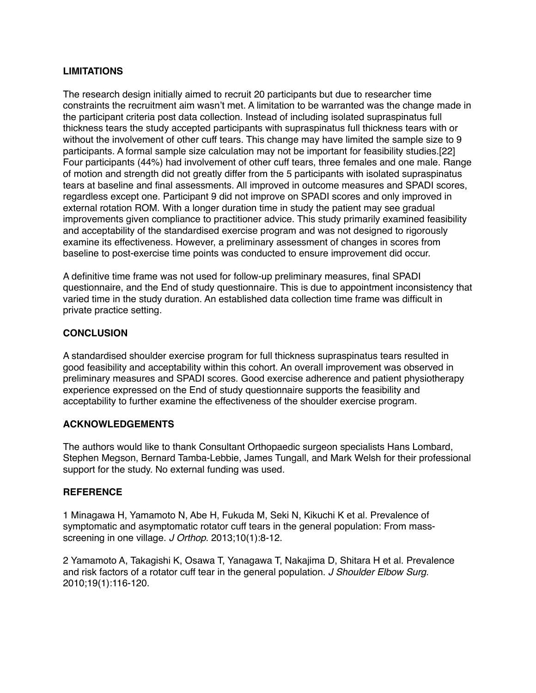### **LIMITATIONS**

The research design initially aimed to recruit 20 participants but due to researcher time constraints the recruitment aim wasn't met. A limitation to be warranted was the change made in the participant criteria post data collection. Instead of including isolated supraspinatus full thickness tears the study accepted participants with supraspinatus full thickness tears with or without the involvement of other cuff tears. This change may have limited the sample size to 9 participants. A formal sample size calculation may not be important for feasibility studies.[22] Four participants (44%) had involvement of other cuff tears, three females and one male. Range of motion and strength did not greatly differ from the 5 participants with isolated supraspinatus tears at baseline and final assessments. All improved in outcome measures and SPADI scores, regardless except one. Participant 9 did not improve on SPADI scores and only improved in external rotation ROM. With a longer duration time in study the patient may see gradual improvements given compliance to practitioner advice. This study primarily examined feasibility and acceptability of the standardised exercise program and was not designed to rigorously examine its effectiveness. However, a preliminary assessment of changes in scores from baseline to post-exercise time points was conducted to ensure improvement did occur.

A definitive time frame was not used for follow-up preliminary measures, final SPADI questionnaire, and the End of study questionnaire. This is due to appointment inconsistency that varied time in the study duration. An established data collection time frame was difficult in private practice setting.

### **CONCLUSION**

A standardised shoulder exercise program for full thickness supraspinatus tears resulted in good feasibility and acceptability within this cohort. An overall improvement was observed in preliminary measures and SPADI scores. Good exercise adherence and patient physiotherapy experience expressed on the End of study questionnaire supports the feasibility and acceptability to further examine the effectiveness of the shoulder exercise program.

### **ACKNOWLEDGEMENTS**

The authors would like to thank Consultant Orthopaedic surgeon specialists Hans Lombard, Stephen Megson, Bernard Tamba-Lebbie, James Tungall, and Mark Welsh for their professional support for the study. No external funding was used.

### **REFERENCE**

1 Minagawa H, Yamamoto N, Abe H, Fukuda M, Seki N, Kikuchi K et al. Prevalence of symptomatic and asymptomatic rotator cuff tears in the general population: From massscreening in one village. *J Orthop*. 2013;10(1):8-12.

2 Yamamoto A, Takagishi K, Osawa T, Yanagawa T, Nakajima D, Shitara H et al. Prevalence and risk factors of a rotator cuff tear in the general population. *J Shoulder Elbow Surg*. 2010;19(1):116-120.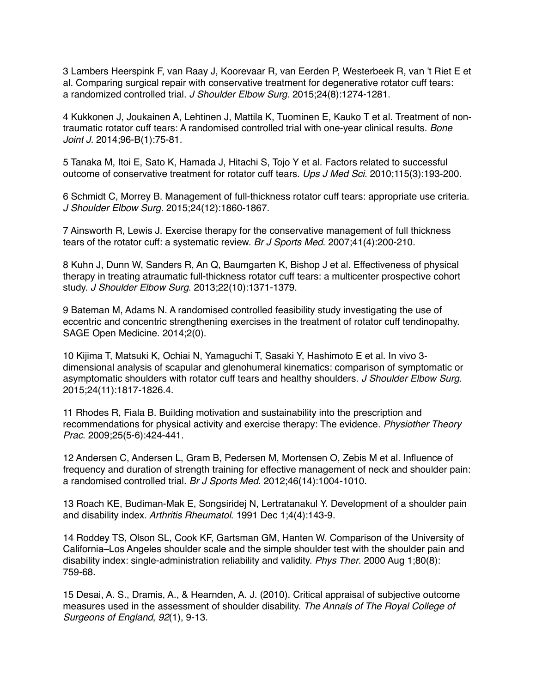3 Lambers Heerspink F, van Raay J, Koorevaar R, van Eerden P, Westerbeek R, van 't Riet E et al. Comparing surgical repair with conservative treatment for degenerative rotator cuff tears: a randomized controlled trial. *J Shoulder Elbow Surg*. 2015;24(8):1274-1281.

4 Kukkonen J, Joukainen A, Lehtinen J, Mattila K, Tuominen E, Kauko T et al. Treatment of nontraumatic rotator cuff tears: A randomised controlled trial with one-year clinical results. *Bone Joint J.* 2014;96-B(1):75-81.

5 Tanaka M, Itoi E, Sato K, Hamada J, Hitachi S, Tojo Y et al. Factors related to successful outcome of conservative treatment for rotator cuff tears. *Ups J Med Sci*. 2010;115(3):193-200.

6 Schmidt C, Morrey B. Management of full-thickness rotator cuff tears: appropriate use criteria. *J Shoulder Elbow Surg*. 2015;24(12):1860-1867.

7 Ainsworth R, Lewis J. Exercise therapy for the conservative management of full thickness tears of the rotator cuff: a systematic review. *Br J Sports Med*. 2007;41(4):200-210.

8 Kuhn J, Dunn W, Sanders R, An Q, Baumgarten K, Bishop J et al. Effectiveness of physical therapy in treating atraumatic full-thickness rotator cuff tears: a multicenter prospective cohort study. *J Shoulder Elbow Surg*. 2013;22(10):1371-1379.

9 Bateman M, Adams N. A randomised controlled feasibility study investigating the use of eccentric and concentric strengthening exercises in the treatment of rotator cuff tendinopathy. SAGE Open Medicine. 2014;2(0).

10 Kijima T, Matsuki K, Ochiai N, Yamaguchi T, Sasaki Y, Hashimoto E et al. In vivo 3 dimensional analysis of scapular and glenohumeral kinematics: comparison of symptomatic or asymptomatic shoulders with rotator cuff tears and healthy shoulders. *J Shoulder Elbow Surg*. 2015;24(11):1817-1826.4.

11 Rhodes R, Fiala B. Building motivation and sustainability into the prescription and recommendations for physical activity and exercise therapy: The evidence. *Physiother Theory Prac*. 2009;25(5-6):424-441.

12 Andersen C, Andersen L, Gram B, Pedersen M, Mortensen O, Zebis M et al. Influence of frequency and duration of strength training for effective management of neck and shoulder pain: a randomised controlled trial. *Br J Sports Med*. 2012;46(14):1004-1010.

13 Roach KE, Budiman‐Mak E, Songsiridej N, Lertratanakul Y. Development of a shoulder pain and disability index. *Arthritis Rheumatol*. 1991 Dec 1;4(4):143-9.

14 Roddey TS, Olson SL, Cook KF, Gartsman GM, Hanten W. Comparison of the University of California–Los Angeles shoulder scale and the simple shoulder test with the shoulder pain and disability index: single-administration reliability and validity. *Phys Ther*. 2000 Aug 1;80(8): 759-68.

15 Desai, A. S., Dramis, A., & Hearnden, A. J. (2010). Critical appraisal of subjective outcome measures used in the assessment of shoulder disability. *The Annals of The Royal College of Surgeons of England*, *92*(1), 9-13.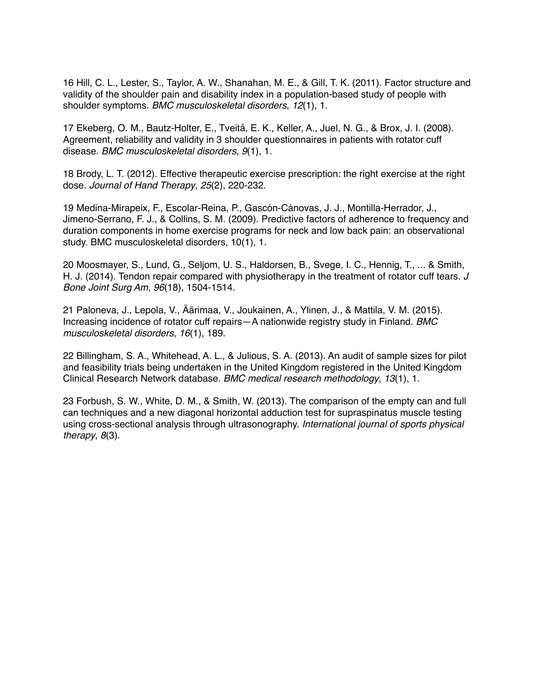16 Hill, C. L., Lester, S., Taylor, A. W., Shanahan, M. E., & Gill, T. K. (2011). Factor structure and validity of the shoulder pain and disability index in a population-based study of people with shoulder symptoms. *BMC musculoskeletal disorders*, *12*(1), 1.

17 Ekeberg, O. M., Bautz-Holter, E., Tveitå, E. K., Keller, A., Juel, N. G., & Brox, J. I. (2008). Agreement, reliability and validity in 3 shoulder questionnaires in patients with rotator cuff disease. *BMC musculoskeletal disorders*, *9*(1), 1.

18 Brody, L. T. (2012). Effective therapeutic exercise prescription: the right exercise at the right dose. *Journal of Hand Therapy*, *25*(2), 220-232.

19 Medina-Mirapeix, F., Escolar-Reina, P., Gascón-Cánovas, J. J., Montilla-Herrador, J., Jimeno-Serrano, F. J., & Collins, S. M. (2009). Predictive factors of adherence to frequency and duration components in home exercise programs for neck and low back pain: an observational study. BMC musculoskeletal disorders, 10(1), 1.

20 Moosmayer, S., Lund, G., Seljom, U. S., Haldorsen, B., Svege, I. C., Hennig, T., ... & Smith, H. J. (2014). Tendon repair compared with physiotherapy in the treatment of rotator cuff tears. *J Bone Joint Surg Am*, *96*(18), 1504-1514.

21 Paloneva, J., Lepola, V., Äärimaa, V., Joukainen, A., Ylinen, J., & Mattila, V. M. (2015). Increasing incidence of rotator cuff repairs—A nationwide registry study in Finland. *BMC musculoskeletal disorders*, *16*(1), 189.

22 Billingham, S. A., Whitehead, A. L., & Julious, S. A. (2013). An audit of sample sizes for pilot and feasibility trials being undertaken in the United Kingdom registered in the United Kingdom Clinical Research Network database. *BMC medical research methodology*, *13*(1), 1.

23 Forbush, S. W., White, D. M., & Smith, W. (2013). The comparison of the empty can and full can techniques and a new diagonal horizontal adduction test for supraspinatus muscle testing using cross-sectional analysis through ultrasonography. *International journal of sports physical therapy*, *8*(3).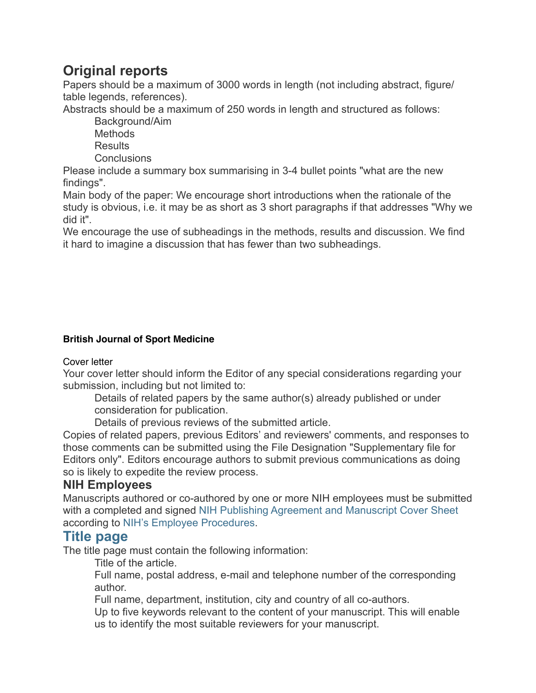# **Original reports**

Papers should be a maximum of 3000 words in length (not including abstract, figure/ table legends, references).

Abstracts should be a maximum of 250 words in length and structured as follows:

Background/Aim

**Methods** 

Results

**Conclusions** 

Please include a summary box summarising in 3-4 bullet points "what are the new findings".

Main body of the paper: We encourage short introductions when the rationale of the study is obvious, i.e. it may be as short as 3 short paragraphs if that addresses "Why we did it".

We encourage the use of subheadings in the methods, results and discussion. We find it hard to imagine a discussion that has fewer than two subheadings.

## **British Journal of Sport Medicine**

### Cover letter

Your cover letter should inform the Editor of any special considerations regarding your submission, including but not limited to:

 Details of related papers by the same author(s) already published or under consideration for publication.

Details of previous reviews of the submitted article.

Copies of related papers, previous Editors' and reviewers' comments, and responses to those comments can be submitted using the File Designation "Supplementary file for Editors only". Editors encourage authors to submit previous communications as doing so is likely to expedite the review process.

## **NIH Employees**

Manuscripts authored or co-authored by one or more NIH employees must be submitted with a completed and signed [NIH Publishing Agreement and Manuscript Cover Sheet](http://sourcebook.od.nih.gov/oversight/NIHCover%2520Sheet.pdf) according to [NIH's Employee Procedures](http://publicaccess.nih.gov/nih_employee_procedures.htm).

# **Title page**

The title page must contain the following information:

Title of the article.

 Full name, postal address, e-mail and telephone number of the corresponding author.

Full name, department, institution, city and country of all co-authors.

 Up to five keywords relevant to the content of your manuscript. This will enable us to identify the most suitable reviewers for your manuscript.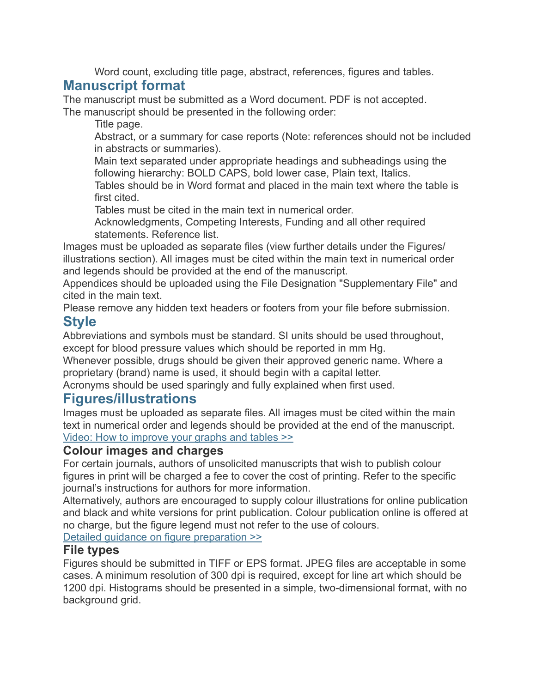Word count, excluding title page, abstract, references, figures and tables.

# **Manuscript format**

The manuscript must be submitted as a Word document. PDF is not accepted. The manuscript should be presented in the following order:

Title page.

 Abstract, or a summary for case reports (Note: references should not be included in abstracts or summaries).

 Main text separated under appropriate headings and subheadings using the following hierarchy: BOLD CAPS, bold lower case, Plain text, Italics.

 Tables should be in Word format and placed in the main text where the table is first cited.

Tables must be cited in the main text in numerical order.

 Acknowledgments, Competing Interests, Funding and all other required statements. Reference list.

Images must be uploaded as separate files (view further details under the Figures/ illustrations section). All images must be cited within the main text in numerical order and legends should be provided at the end of the manuscript.

Appendices should be uploaded using the File Designation "Supplementary File" and cited in the main text.

Please remove any hidden text headers or footers from your file before submission. **Style**

Abbreviations and symbols must be standard. SI units should be used throughout, except for blood pressure values which should be reported in mm Hg.

Whenever possible, drugs should be given their approved generic name. Where a proprietary (brand) name is used, it should begin with a capital letter.

Acronyms should be used sparingly and fully explained when first used.

## **Figures/illustrations**

Images must be uploaded as separate files. All images must be cited within the main text in numerical order and legends should be provided at the end of the manuscript. [Video: How to improve your graphs and tables >>](https://www.youtube.com/playlist?list=PLXU14EQbU_V9JpmolAKsaCC0VjJzbxzAN)

### **Colour images and charges**

For certain journals, authors of unsolicited manuscripts that wish to publish colour figures in print will be charged a fee to cover the cost of printing. Refer to the specific journal's instructions for authors for more information.

Alternatively, authors are encouraged to supply colour illustrations for online publication and black and white versions for print publication. Colour publication online is offered at no charge, but the figure legend must not refer to the use of colours.

[Detailed guidance on figure preparation >>](http://journals.bmj.com/site/authors/Further%2520information%2520on%2520figure%2520preparation.pdf)

## **File types**

Figures should be submitted in TIFF or EPS format. JPEG files are acceptable in some cases. A minimum resolution of 300 dpi is required, except for line art which should be 1200 dpi. Histograms should be presented in a simple, two-dimensional format, with no background grid.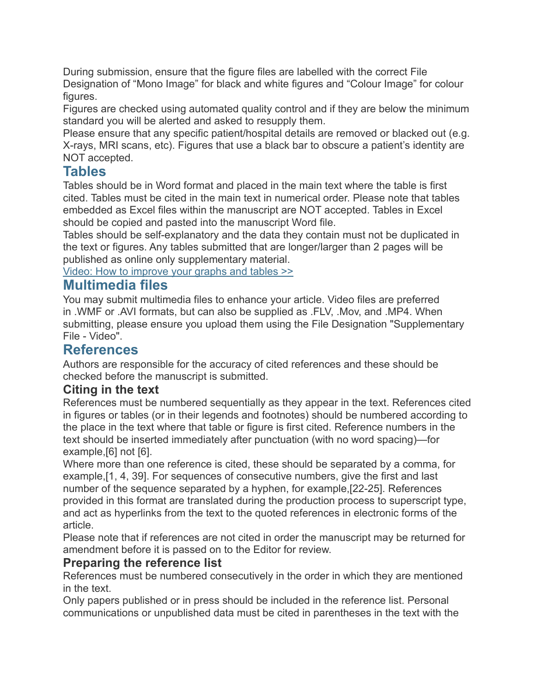During submission, ensure that the figure files are labelled with the correct File Designation of "Mono Image" for black and white figures and "Colour Image" for colour figures.

Figures are checked using automated quality control and if they are below the minimum standard you will be alerted and asked to resupply them.

Please ensure that any specific patient/hospital details are removed or blacked out (e.g. X-rays, MRI scans, etc). Figures that use a black bar to obscure a patient's identity are NOT accepted.

# **Tables**

Tables should be in Word format and placed in the main text where the table is first cited. Tables must be cited in the main text in numerical order. Please note that tables embedded as Excel files within the manuscript are NOT accepted. Tables in Excel should be copied and pasted into the manuscript Word file.

Tables should be self-explanatory and the data they contain must not be duplicated in the text or figures. Any tables submitted that are longer/larger than 2 pages will be published as online only supplementary material.

[Video: How to improve your graphs and tables >>](https://www.youtube.com/playlist?list=PLXU14EQbU_V9JpmolAKsaCC0VjJzbxzAN)

## **Multimedia files**

You may submit multimedia files to enhance your article. Video files are preferred in .WMF or .AVI formats, but can also be supplied as .FLV, .Mov, and .MP4. When submitting, please ensure you upload them using the File Designation "Supplementary File - Video".

# **References**

Authors are responsible for the accuracy of cited references and these should be checked before the manuscript is submitted.

## **Citing in the text**

References must be numbered sequentially as they appear in the text. References cited in figures or tables (or in their legends and footnotes) should be numbered according to the place in the text where that table or figure is first cited. Reference numbers in the text should be inserted immediately after punctuation (with no word spacing)—for example,[6] not [6].

Where more than one reference is cited, these should be separated by a comma, for example,[1, 4, 39]. For sequences of consecutive numbers, give the first and last number of the sequence separated by a hyphen, for example,[22-25]. References provided in this format are translated during the production process to superscript type, and act as hyperlinks from the text to the quoted references in electronic forms of the article.

Please note that if references are not cited in order the manuscript may be returned for amendment before it is passed on to the Editor for review.

## **Preparing the reference list**

References must be numbered consecutively in the order in which they are mentioned in the text.

Only papers published or in press should be included in the reference list. Personal communications or unpublished data must be cited in parentheses in the text with the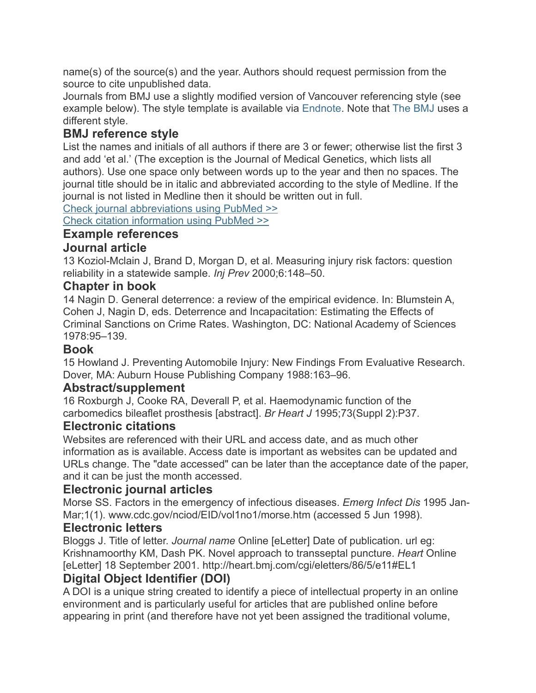name(s) of the source(s) and the year. Authors should request permission from the source to cite unpublished data.

Journals from BMJ use a slightly modified version of Vancouver referencing style (see example below). The style template is available via [Endnote.](http://journals.bmj.com/site/authors/BMJEndNote.ens) Note that [The BMJ](http://www.bmj.com/about-bmj/resources-authors/house-style) uses a different style.

## **BMJ reference style**

List the names and initials of all authors if there are 3 or fewer; otherwise list the first 3 and add 'et al.' (The exception is the Journal of Medical Genetics, which lists all authors). Use one space only between words up to the year and then no spaces. The journal title should be in italic and abbreviated according to the style of Medline. If the journal is not listed in Medline then it should be written out in full.

[Check journal abbreviations using PubMed >>](http://www.ncbi.nlm.nih.gov/nlmcatalog/journals)

[Check citation information using PubMed >>](http://www.ncbi.nlm.nih.gov/entrez/query/static/citmatch.html)

## **Example references**

## **Journal article**

13 Koziol-Mclain J, Brand D, Morgan D, et al. Measuring injury risk factors: question reliability in a statewide sample. *Inj Prev* 2000;6:148–50.

## **Chapter in book**

14 Nagin D. General deterrence: a review of the empirical evidence. In: Blumstein A, Cohen J, Nagin D, eds. Deterrence and Incapacitation: Estimating the Effects of Criminal Sanctions on Crime Rates. Washington, DC: National Academy of Sciences 1978:95–139.

## **Book**

15 Howland J. Preventing Automobile Injury: New Findings From Evaluative Research. Dover, MA: Auburn House Publishing Company 1988:163–96.

### **Abstract/supplement**

16 Roxburgh J, Cooke RA, Deverall P, et al. Haemodynamic function of the carbomedics bileaflet prosthesis [abstract]. *Br Heart J* 1995;73(Suppl 2):P37.

### **Electronic citations**

Websites are referenced with their URL and access date, and as much other information as is available. Access date is important as websites can be updated and URLs change. The "date accessed" can be later than the acceptance date of the paper, and it can be just the month accessed.

## **Electronic journal articles**

Morse SS. Factors in the emergency of infectious diseases. *Emerg Infect Dis* 1995 Jan-Mar;1(1). www.cdc.gov/nciod/EID/vol1no1/morse.htm (accessed 5 Jun 1998).

## **Electronic letters**

Bloggs J. Title of letter. *Journal name* Online [eLetter] Date of publication. url eg: Krishnamoorthy KM, Dash PK. Novel approach to transseptal puncture. *Heart* Online [eLetter] 18 September 2001. http://heart.bmj.com/cgi/eletters/86/5/e11#EL1

## **Digital Object Identifier (DOI)**

A DOI is a unique string created to identify a piece of intellectual property in an online environment and is particularly useful for articles that are published online before appearing in print (and therefore have not yet been assigned the traditional volume,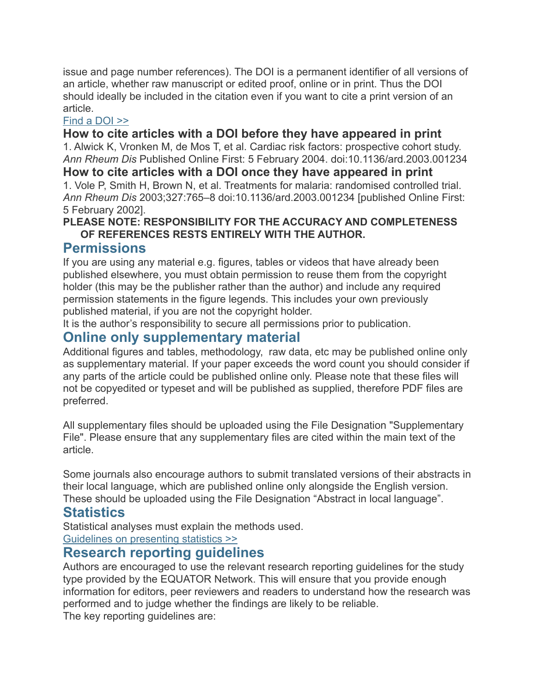issue and page number references). The DOI is a permanent identifier of all versions of an article, whether raw manuscript or edited proof, online or in print. Thus the DOI should ideally be included in the citation even if you want to cite a print version of an article.

### [Find a DOI >>](http://www.crossref.org/guestquery)

## **How to cite articles with a DOI before they have appeared in print**

1. Alwick K, Vronken M, de Mos T, et al. Cardiac risk factors: prospective cohort study. *Ann Rheum Dis* Published Online First: 5 February 2004. doi:10.1136/ard.2003.001234

### **How to cite articles with a DOI once they have appeared in print** 1. Vole P, Smith H, Brown N, et al. Treatments for malaria: randomised controlled trial. *Ann Rheum Dis* 2003;327:765–8 doi:10.1136/ard.2003.001234 [published Online First:

5 February 2002].

## **PLEASE NOTE: RESPONSIBILITY FOR THE ACCURACY AND COMPLETENESS OF REFERENCES RESTS ENTIRELY WITH THE AUTHOR.**

# **Permissions**

If you are using any material e.g. figures, tables or videos that have already been published elsewhere, you must obtain permission to reuse them from the copyright holder (this may be the publisher rather than the author) and include any required permission statements in the figure legends. This includes your own previously published material, if you are not the copyright holder.

It is the author's responsibility to secure all permissions prior to publication.

# **Online only supplementary material**

Additional figures and tables, methodology, raw data, etc may be published online only as supplementary material. If your paper exceeds the word count you should consider if any parts of the article could be published online only. Please note that these files will not be copyedited or typeset and will be published as supplied, therefore PDF files are preferred.

All supplementary files should be uploaded using the File Designation "Supplementary File". Please ensure that any supplementary files are cited within the main text of the article.

Some journals also encourage authors to submit translated versions of their abstracts in their local language, which are published online only alongside the English version. These should be uploaded using the File Designation "Abstract in local language".

# **Statistics**

Statistical analyses must explain the methods used.

[Guidelines on presenting statistics >>](http://www.bmj.com/about-bmj/resources-readers/publications/statistics-square-one)

# **Research reporting guidelines**

Authors are encouraged to use the relevant research reporting guidelines for the study type provided by the EQUATOR Network. This will ensure that you provide enough information for editors, peer reviewers and readers to understand how the research was performed and to judge whether the findings are likely to be reliable. The key reporting guidelines are: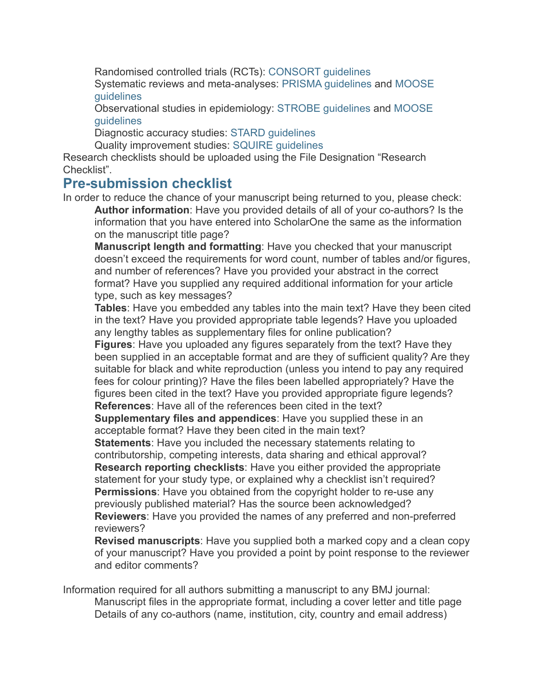Randomised controlled trials (RCTs): [CONSORT guidelines](http://www.equator-network.org/reporting-guidelines/consort-2010-statement-updated-guidelines-for-reporting-parallel-group-randomised-trials/) [Systematic reviews and meta-analyses:](http://www.equator-network.org/reporting-guidelines/meta-analysis-of-observational-studies-in-epidemiology-a-proposal-for-reporting-meta-analysis-of-observational-studies-in-epidemiology-moose-group/) [PRISMA guidelines](http://www.equator-network.org/reporting-guidelines/preferred-reporting-items-for-systematic-reviews-and-meta-analyses-the-prisma-statement/) [and MOOSE](http://www.equator-network.org/reporting-guidelines/meta-analysis-of-observational-studies-in-epidemiology-a-proposal-for-reporting-meta-analysis-of-observational-studies-in-epidemiology-moose-group/)  guidelines

 [Observational studies in epidemiology: S](http://www.equator-network.org/reporting-guidelines/meta-analysis-of-observational-studies-in-epidemiology-a-proposal-for-reporting-meta-analysis-of-observational-studies-in-epidemiology-moose-group/)[TROBE guidelines](http://www.equator-network.org/reporting-guidelines/the-strengthening-the-reporting-of-observational-studies-in-epidemiology-strobe-statement-guidelines-for-reporting-observational-studies/) [and MOOSE](http://www.equator-network.org/reporting-guidelines/meta-analysis-of-observational-studies-in-epidemiology-a-proposal-for-reporting-meta-analysis-of-observational-studies-in-epidemiology-moose-group/)  guidelines

Diagnostic accuracy studies: [STARD guidelines](http://www.equator-network.org/reporting-guidelines/towards-complete-and-accurate-reporting-of-studies-of-diagnostic-accuracy-the-stard-initiative-standards-for-reporting-of-diagnostic-accuracy/)

Quality improvement studies: [SQUIRE guidelines](http://www.equator-network.org/reporting-guidelines/publication-guidelines-for-quality-improvement-in-health-care-evolution-of-the-squire-project/)

Research checklists should be uploaded using the File Designation "Research Checklist".

# **Pre-submission checklist**

In order to reduce the chance of your manuscript being returned to you, please check:  **Author information**: Have you provided details of all of your co-authors? Is the information that you have entered into ScholarOne the same as the information on the manuscript title page?

 **Manuscript length and formatting**: Have you checked that your manuscript doesn't exceed the requirements for word count, number of tables and/or figures, and number of references? Have you provided your abstract in the correct format? Have you supplied any required additional information for your article type, such as key messages?

 **Tables**: Have you embedded any tables into the main text? Have they been cited in the text? Have you provided appropriate table legends? Have you uploaded any lengthy tables as supplementary files for online publication?

 **Figures**: Have you uploaded any figures separately from the text? Have they been supplied in an acceptable format and are they of sufficient quality? Are they suitable for black and white reproduction (unless you intend to pay any required fees for colour printing)? Have the files been labelled appropriately? Have the figures been cited in the text? Have you provided appropriate figure legends?  **References**: Have all of the references been cited in the text?

 **Supplementary files and appendices**: Have you supplied these in an acceptable format? Have they been cited in the main text?

 **Statements**: Have you included the necessary statements relating to contributorship, competing interests, data sharing and ethical approval?  **Research reporting checklists**: Have you either provided the appropriate statement for your study type, or explained why a checklist isn't required?  **Permissions**: Have you obtained from the copyright holder to re-use any previously published material? Has the source been acknowledged?  **Reviewers**: Have you provided the names of any preferred and non-preferred reviewers?

 **Revised manuscripts**: Have you supplied both a marked copy and a clean copy of your manuscript? Have you provided a point by point response to the reviewer and editor comments?

Information required for all authors submitting a manuscript to any BMJ journal: Manuscript files in the appropriate format, including a cover letter and title page Details of any co-authors (name, institution, city, country and email address)